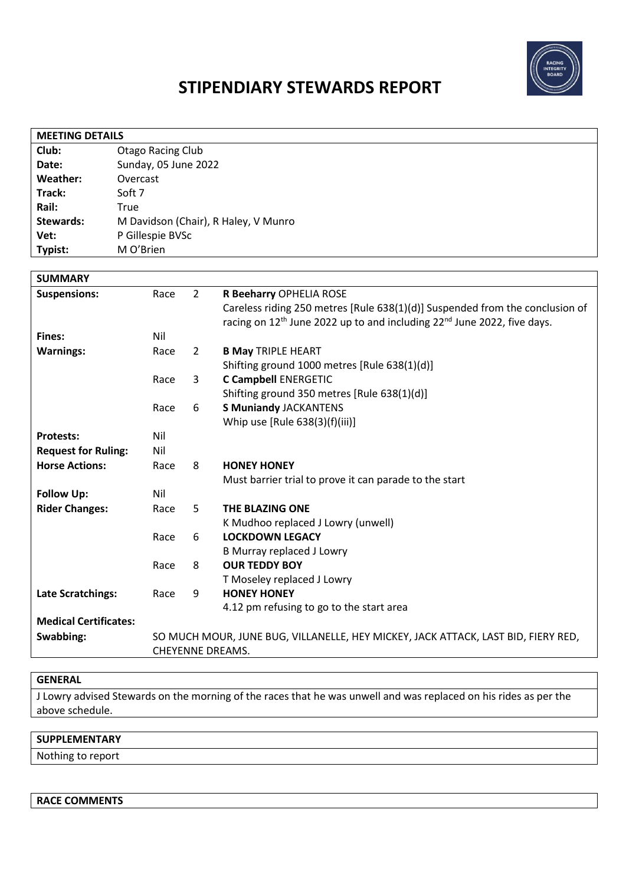

# **STIPENDIARY STEWARDS REPORT**

| <b>MEETING DETAILS</b> |                                      |  |  |  |
|------------------------|--------------------------------------|--|--|--|
| Club:                  | <b>Otago Racing Club</b>             |  |  |  |
| Date:                  | Sunday, 05 June 2022                 |  |  |  |
| Weather:               | Overcast                             |  |  |  |
| Track:                 | Soft 7                               |  |  |  |
| Rail:                  | True                                 |  |  |  |
| Stewards:              | M Davidson (Chair), R Haley, V Munro |  |  |  |
| Vet:                   | P Gillespie BVSc                     |  |  |  |
| Typist:                | M O'Brien                            |  |  |  |
|                        |                                      |  |  |  |
| <b>SUMMARY</b>         |                                      |  |  |  |

| <b>Suspensions:</b>          | Race                                                                              | $\overline{2}$ | R Beeharry OPHELIA ROSE                                                                         |  |
|------------------------------|-----------------------------------------------------------------------------------|----------------|-------------------------------------------------------------------------------------------------|--|
|                              |                                                                                   |                | Careless riding 250 metres [Rule 638(1)(d)] Suspended from the conclusion of                    |  |
|                              |                                                                                   |                | racing on 12 <sup>th</sup> June 2022 up to and including 22 <sup>nd</sup> June 2022, five days. |  |
| Fines:                       | Nil                                                                               |                |                                                                                                 |  |
| <b>Warnings:</b>             | Race                                                                              | $\mathbf{2}$   | <b>B May TRIPLE HEART</b>                                                                       |  |
|                              |                                                                                   |                | Shifting ground 1000 metres [Rule 638(1)(d)]                                                    |  |
|                              | Race                                                                              | 3              | <b>C Campbell ENERGETIC</b>                                                                     |  |
|                              |                                                                                   |                | Shifting ground 350 metres [Rule 638(1)(d)]                                                     |  |
|                              | Race                                                                              | 6              | <b>S Muniandy JACKANTENS</b>                                                                    |  |
|                              |                                                                                   |                | Whip use [Rule 638(3)(f)(iii)]                                                                  |  |
| <b>Protests:</b>             | Nil                                                                               |                |                                                                                                 |  |
| <b>Request for Ruling:</b>   | Nil                                                                               |                |                                                                                                 |  |
| <b>Horse Actions:</b>        | Race                                                                              | 8              | <b>HONEY HONEY</b>                                                                              |  |
|                              |                                                                                   |                | Must barrier trial to prove it can parade to the start                                          |  |
| <b>Follow Up:</b>            | Nil                                                                               |                |                                                                                                 |  |
| <b>Rider Changes:</b>        | Race                                                                              | 5              | <b>THE BLAZING ONE</b>                                                                          |  |
|                              |                                                                                   |                | K Mudhoo replaced J Lowry (unwell)                                                              |  |
|                              | Race                                                                              | 6              | <b>LOCKDOWN LEGACY</b>                                                                          |  |
|                              |                                                                                   |                | <b>B Murray replaced J Lowry</b>                                                                |  |
|                              | Race                                                                              | 8              | <b>OUR TEDDY BOY</b>                                                                            |  |
|                              |                                                                                   |                | T Moseley replaced J Lowry                                                                      |  |
| <b>Late Scratchings:</b>     | Race                                                                              | 9              | <b>HONEY HONEY</b>                                                                              |  |
|                              |                                                                                   |                | 4.12 pm refusing to go to the start area                                                        |  |
| <b>Medical Certificates:</b> |                                                                                   |                |                                                                                                 |  |
| Swabbing:                    | SO MUCH MOUR, JUNE BUG, VILLANELLE, HEY MICKEY, JACK ATTACK, LAST BID, FIERY RED, |                |                                                                                                 |  |
|                              |                                                                                   |                | <b>CHEYENNE DREAMS.</b>                                                                         |  |

#### **GENERAL**

J Lowry advised Stewards on the morning of the races that he was unwell and was replaced on his rides as per the above schedule.

## **SUPPLEMENTARY**

Nothing to report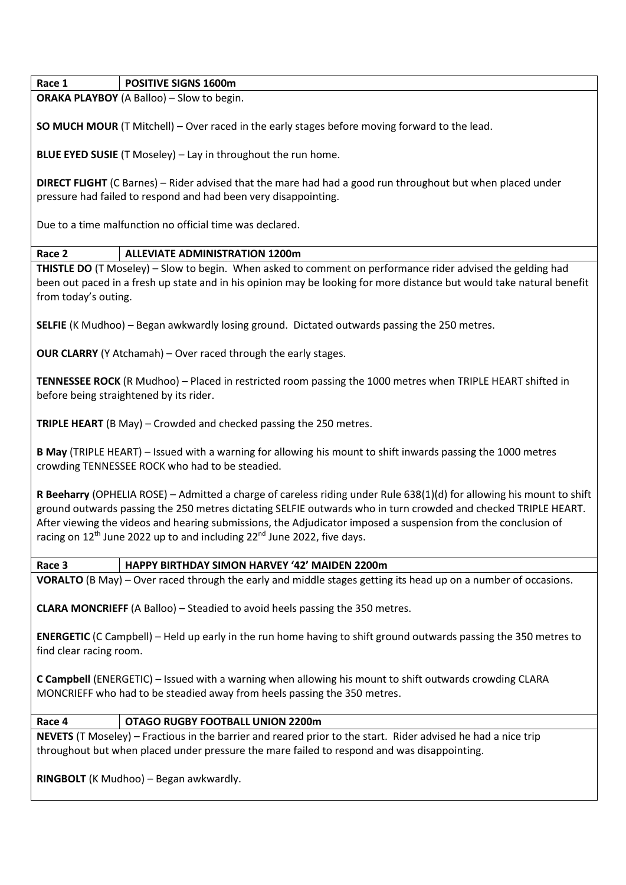| Race 1 | <b>POSITIVE SIGNS 1600m</b> |  |
|--------|-----------------------------|--|
|        |                             |  |

**ORAKA PLAYBOY** (A Balloo) – Slow to begin.

**SO MUCH MOUR** (T Mitchell) – Over raced in the early stages before moving forward to the lead.

**BLUE EYED SUSIE** (T Moseley) – Lay in throughout the run home.

**DIRECT FLIGHT** (C Barnes) – Rider advised that the mare had had a good run throughout but when placed under pressure had failed to respond and had been very disappointing.

Due to a time malfunction no official time was declared.

## **Race 2 ALLEVIATE ADMINISTRATION 1200m**

**THISTLE DO** (T Moseley) – Slow to begin. When asked to comment on performance rider advised the gelding had been out paced in a fresh up state and in his opinion may be looking for more distance but would take natural benefit from today's outing.

**SELFIE** (K Mudhoo) – Began awkwardly losing ground. Dictated outwards passing the 250 metres.

**OUR CLARRY** (Y Atchamah) – Over raced through the early stages.

**TENNESSEE ROCK** (R Mudhoo) – Placed in restricted room passing the 1000 metres when TRIPLE HEART shifted in before being straightened by its rider.

**TRIPLE HEART** (B May) – Crowded and checked passing the 250 metres.

**B May** (TRIPLE HEART) – Issued with a warning for allowing his mount to shift inwards passing the 1000 metres crowding TENNESSEE ROCK who had to be steadied.

**R Beeharry** (OPHELIA ROSE) – Admitted a charge of careless riding under Rule 638(1)(d) for allowing his mount to shift ground outwards passing the 250 metres dictating SELFIE outwards who in turn crowded and checked TRIPLE HEART. After viewing the videos and hearing submissions, the Adjudicator imposed a suspension from the conclusion of racing on  $12<sup>th</sup>$  June 2022 up to and including  $22<sup>nd</sup>$  June 2022, five days.

**Race 3 HAPPY BIRTHDAY SIMON HARVEY '42' MAIDEN 2200m**

**VORALTO** (B May) – Over raced through the early and middle stages getting its head up on a number of occasions.

**CLARA MONCRIEFF** (A Balloo) – Steadied to avoid heels passing the 350 metres.

**ENERGETIC** (C Campbell) – Held up early in the run home having to shift ground outwards passing the 350 metres to find clear racing room.

**C Campbell** (ENERGETIC) – Issued with a warning when allowing his mount to shift outwards crowding CLARA MONCRIEFF who had to be steadied away from heels passing the 350 metres.

## **Race 4 OTAGO RUGBY FOOTBALL UNION 2200m**

**NEVETS** (T Moseley) – Fractious in the barrier and reared prior to the start. Rider advised he had a nice trip throughout but when placed under pressure the mare failed to respond and was disappointing.

**RINGBOLT** (K Mudhoo) – Began awkwardly.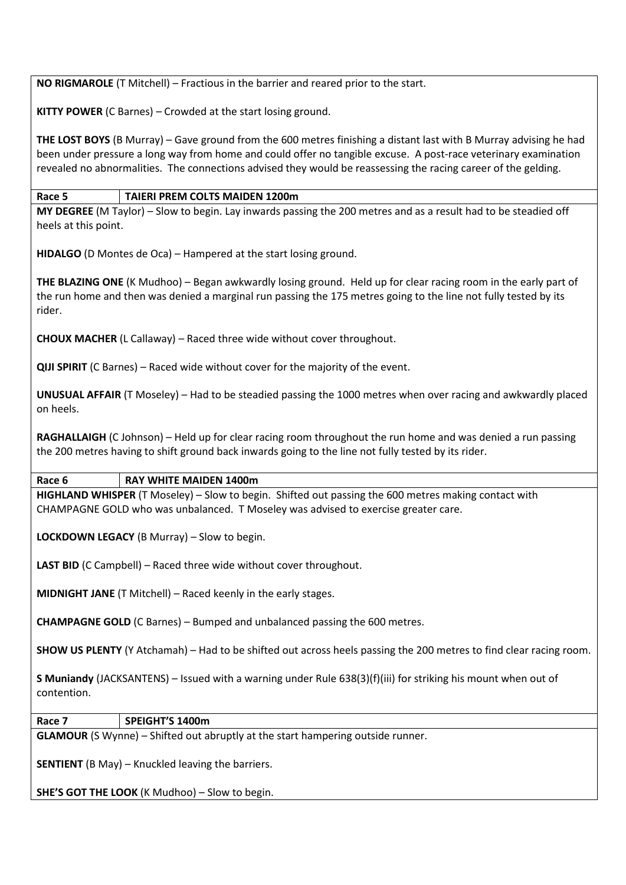**NO RIGMAROLE** (T Mitchell) – Fractious in the barrier and reared prior to the start.

**KITTY POWER** (C Barnes) – Crowded at the start losing ground.

**THE LOST BOYS** (B Murray) – Gave ground from the 600 metres finishing a distant last with B Murray advising he had been under pressure a long way from home and could offer no tangible excuse. A post-race veterinary examination revealed no abnormalities. The connections advised they would be reassessing the racing career of the gelding.

### **Race 5 TAIERI PREM COLTS MAIDEN 1200m**

**MY DEGREE** (M Taylor) – Slow to begin. Lay inwards passing the 200 metres and as a result had to be steadied off heels at this point.

**HIDALGO** (D Montes de Oca) – Hampered at the start losing ground.

**THE BLAZING ONE** (K Mudhoo) – Began awkwardly losing ground. Held up for clear racing room in the early part of the run home and then was denied a marginal run passing the 175 metres going to the line not fully tested by its rider.

**CHOUX MACHER** (L Callaway) – Raced three wide without cover throughout.

**QIJI SPIRIT** (C Barnes) – Raced wide without cover for the majority of the event.

**UNUSUAL AFFAIR** (T Moseley) – Had to be steadied passing the 1000 metres when over racing and awkwardly placed on heels.

**RAGHALLAIGH** (C Johnson) – Held up for clear racing room throughout the run home and was denied a run passing the 200 metres having to shift ground back inwards going to the line not fully tested by its rider.

#### **Race 6 RAY WHITE MAIDEN 1400m**

**HIGHLAND WHISPER** (T Moseley) – Slow to begin. Shifted out passing the 600 metres making contact with CHAMPAGNE GOLD who was unbalanced. T Moseley was advised to exercise greater care.

**LOCKDOWN LEGACY** (B Murray) – Slow to begin.

LAST BID (C Campbell) – Raced three wide without cover throughout.

**MIDNIGHT JANE** (T Mitchell) – Raced keenly in the early stages.

**CHAMPAGNE GOLD** (C Barnes) – Bumped and unbalanced passing the 600 metres.

**SHOW US PLENTY** (Y Atchamah) – Had to be shifted out across heels passing the 200 metres to find clear racing room.

**S Muniandy** (JACKSANTENS) – Issued with a warning under Rule 638(3)(f)(iii) for striking his mount when out of contention.

**Race 7 SPEIGHT'S 1400m**

**GLAMOUR** (S Wynne) – Shifted out abruptly at the start hampering outside runner.

**SENTIENT** (B May) – Knuckled leaving the barriers.

**SHE'S GOT THE LOOK** (K Mudhoo) – Slow to begin.